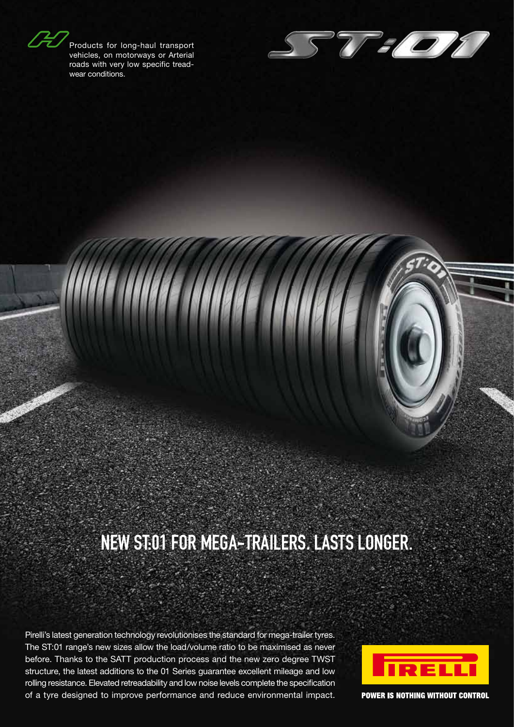Products for long-haul transport vehicles, on motorways or Arterial roads with very low specific treadwear conditions.



# New ST:01 for mega-trailers. Lasts longer.

Pirelli's latest generation technology revolutionises the standard for mega-trailer tyres. The ST:01 range's new sizes allow the load/volume ratio to be maximised as never before. Thanks to the SATT production process and the new zero degree TWST structure, the latest additions to the 01 Series guarantee excellent mileage and low rolling resistance. Elevated retreadability and low noise levels complete the specification of a tyre designed to improve performance and reduce environmental impact.



**POWER IS NOTHING WITHOUT CONTROL**